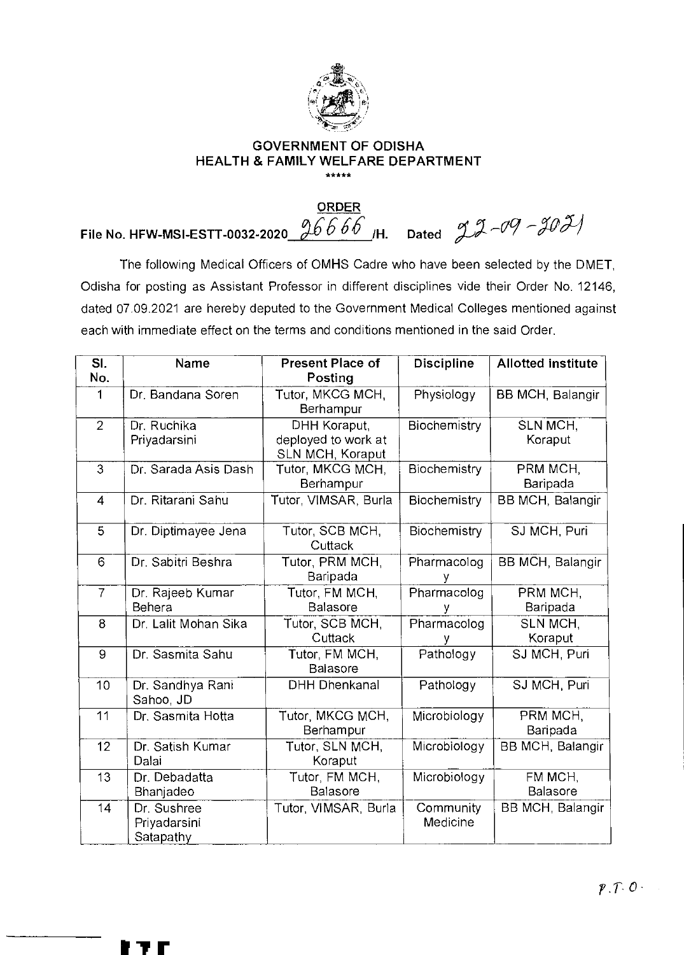

## **GOVERNMENT OF ODISHA HEALTH & FAMILY WELFARE DEPARTMENT**  \*\*\*\*\*

**ORDER File No. HFW-MSI-ESTT-0032-2020\_\_26666\_**/H. Dated *J\_J\_09 - J0 J*\_/

The following Medical Officers of OMHS Cadre who have been selected by the DMET, Odisha for posting as Assistant Professor in different disciplines vide their Order No. 12146, dated 07.09.2021 are hereby deputed to the Government Medical Colleges mentioned against each with immediate effect on the terms and conditions mentioned in the said Order.

| SI.<br>No.     | Name                                     | <b>Present Place of</b><br>Posting                      | <b>Discipline</b>     | <b>Allotted institute</b> |
|----------------|------------------------------------------|---------------------------------------------------------|-----------------------|---------------------------|
| 1              | Dr. Bandana Soren                        | Tutor, MKCG MCH,<br>Berhampur                           | Physiology            | BB MCH, Balangir          |
| $\overline{2}$ | Dr. Ruchika<br>Priyadarsini              | DHH Koraput,<br>deployed to work at<br>SLN MCH, Koraput | Biochemistry          | SLN MCH,<br>Koraput       |
| $\overline{3}$ | Dr. Sarada Asis Dash                     | Tutor, MKCG MCH,<br>Berhampur                           | Biochemistry          | PRM MCH,<br>Baripada      |
| $\overline{4}$ | Dr. Ritarani Sahu                        | Tutor, VIMSAR, Burla                                    | Biochemistry          | <b>BB MCH, Balangir</b>   |
| $\overline{5}$ | Dr. Diptimayee Jena                      | Tutor, SCB MCH,<br>Cuttack                              | Biochemistry          | SJ MCH, Puri              |
| 6              | Dr. Sabitri Beshra                       | Tutor, PRM MCH,<br>Baripada                             | Pharmacolog           | <b>BB MCH, Balangir</b>   |
| $\overline{7}$ | Dr. Rajeeb Kumar<br>Behera               | Tutor, FM MCH,<br><b>Balasore</b>                       | Pharmacolog           | PRM MCH,<br>Baripada      |
| $\overline{8}$ | Dr. Lalit Mohan Sika                     | Tutor, SCB MCH,<br>Cuttack                              | Pharmacolog<br>۷      | SLN MCH.<br>Koraput       |
| 9              | Dr. Sasmita Sahu                         | Tutor, FM MCH,<br><b>Balasore</b>                       | Pathology             | SJ MCH, Puri              |
| 10             | Dr. Sandhya Rani<br>Sahoo, JD            | <b>DHH Dhenkanal</b>                                    | Pathology             | SJ MCH, Puri              |
| 11             | Dr. Sasmita Hotta                        | Tutor, MKCG MCH,<br>Berhampur                           | Microbiology          | PRM MCH,<br>Baripada      |
| 12             | Dr. Satish Kumar<br>Dalai                | Tutor, SLN MCH,<br>Koraput                              | Microbiology          | BB MCH, Balangir          |
| 13             | Dr. Debadatta<br>Bhanjadeo               | Tutor, FM MCH,<br>Balasore                              | Microbiology          | FM MCH,<br>Balasore       |
| 14             | Dr. Sushree<br>Priyadarsini<br>Satapathy | Tutor, VIMSAR, Burla                                    | Community<br>Medicine | <b>BB MCH, Balangir</b>   |

**fir**